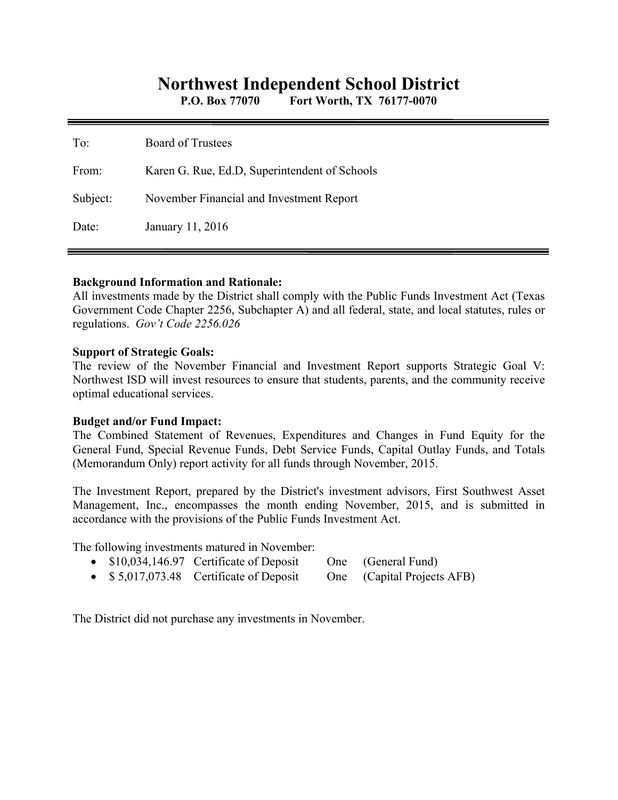# **Northwest Independent School District**

**P.O. Box 77070 Fort Worth, TX 76177-0070** 

| To:      | <b>Board of Trustees</b>                      |
|----------|-----------------------------------------------|
| From:    | Karen G. Rue, Ed.D, Superintendent of Schools |
| Subject: | November Financial and Investment Report      |
| Date:    | January 11, 2016                              |

#### **Background Information and Rationale:**

All investments made by the District shall comply with the Public Funds Investment Act (Texas Government Code Chapter 2256, Subchapter A) and all federal, state, and local statutes, rules or regulations. *Gov't Code 2256.026* 

#### **Support of Strategic Goals:**

The review of the November Financial and Investment Report supports Strategic Goal V: Northwest ISD will invest resources to ensure that students, parents, and the community receive optimal educational services.

#### **Budget and/or Fund Impact:**

The Combined Statement of Revenues, Expenditures and Changes in Fund Equity for the General Fund, Special Revenue Funds, Debt Service Funds, Capital Outlay Funds, and Totals (Memorandum Only) report activity for all funds through November, 2015.

The Investment Report, prepared by the District's investment advisors, First Southwest Asset Management, Inc., encompasses the month ending November, 2015, and is submitted in accordance with the provisions of the Public Funds Investment Act.

The following investments matured in November:

- \$10,034,146.97 Certificate of Deposit One (General Fund)
- \$5,017,073.48 Certificate of Deposit One (Capital Projects AFB)

The District did not purchase any investments in November.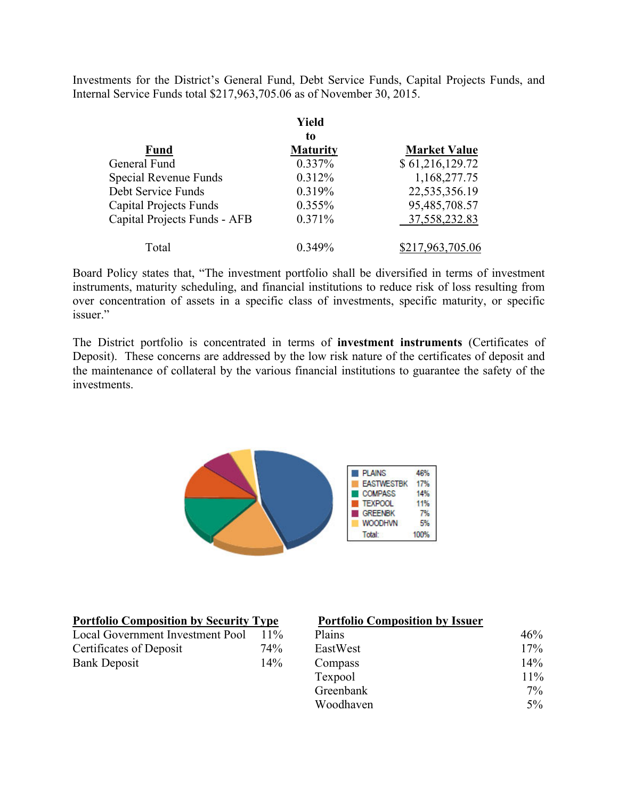Investments for the District's General Fund, Debt Service Funds, Capital Projects Funds, and Internal Service Funds total \$217,963,705.06 as of November 30, 2015.

|                               | Yield           |                     |
|-------------------------------|-----------------|---------------------|
|                               | to              |                     |
| <b>Fund</b>                   | <b>Maturity</b> | <b>Market Value</b> |
| General Fund                  | 0.337%          | \$61,216,129.72     |
| Special Revenue Funds         | 0.312%          | 1,168,277.75        |
| Debt Service Funds            | 0.319%          | 22,535,356.19       |
| <b>Capital Projects Funds</b> | $0.355\%$       | 95,485,708.57       |
| Capital Projects Funds - AFB  | 0.371%          | 37,558,232.83       |
| Total                         | $0.349\%$       | \$217,963,705.06    |

Board Policy states that, "The investment portfolio shall be diversified in terms of investment instruments, maturity scheduling, and financial institutions to reduce risk of loss resulting from over concentration of assets in a specific class of investments, specific maturity, or specific issuer."

The District portfolio is concentrated in terms of **investment instruments** (Certificates of Deposit). These concerns are addressed by the low risk nature of the certificates of deposit and the maintenance of collateral by the various financial institutions to guarantee the safety of the investments.



| <b>Portfolio Composition by Security Type</b> |        | <b>Portfolio Composition by Issuer</b> |        |  |
|-----------------------------------------------|--------|----------------------------------------|--------|--|
| Local Government Investment Pool              | $11\%$ | <b>Plains</b>                          | 46%    |  |
| Certificates of Deposit                       | 74%    | EastWest                               | 17%    |  |
| <b>Bank Deposit</b>                           | $14\%$ | Compass                                | $14\%$ |  |
|                                               |        |                                        | 1.101  |  |

#### **Portfolio Composition by Issuer**

| Local Government Investment Pool | $11\%$ | Plains    | 46%    |
|----------------------------------|--------|-----------|--------|
| Certificates of Deposit          | 74%    | EastWest  | 17%    |
| Bank Deposit                     | 14%    | Compass   | 14%    |
|                                  |        | Texpool   | $11\%$ |
|                                  |        | Greenbank | $7\%$  |
|                                  |        | Woodhaven | $5\%$  |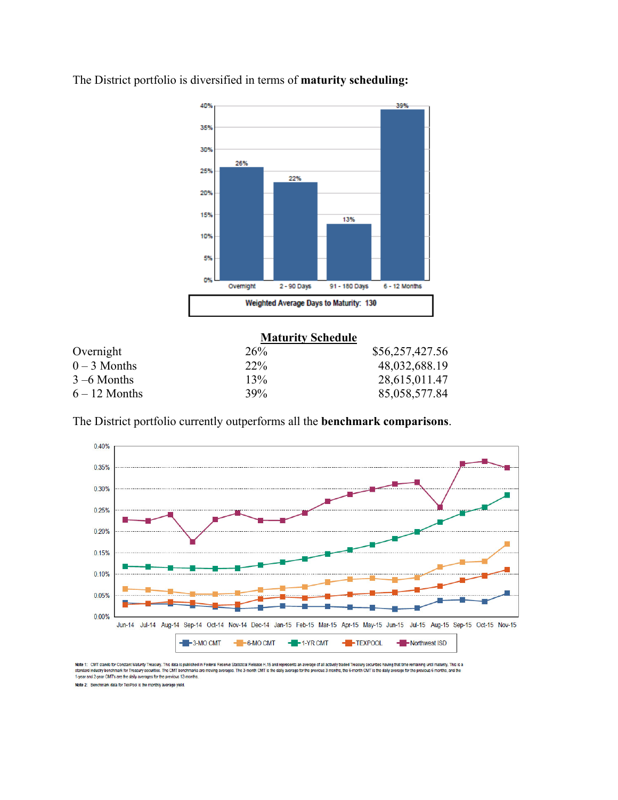

The District portfolio is diversified in terms of **maturity scheduling:** 

|                 | <b>Maturity Schedule</b> |                 |
|-----------------|--------------------------|-----------------|
| Overnight       | 26%                      | \$56,257,427.56 |
| $0 - 3$ Months  | $22\%$                   | 48,032,688.19   |
| $3 - 6$ Months  | 13%                      | 28,615,011.47   |
| $6 - 12$ Months | 39%                      | 85,058,577.84   |

The District portfolio currently outperforms all the **benchmark comparisons**.



Note 1: CMT stands for Constant Maturity Treasury. This data is published in Federal Resene Clatistical Release H.15 and represents an average of all actively traded Treasury securities having that time remaining until mat 1-year and 2-year CMT's are the daily averages for the previous 12-months. Note 2: Benchmark data for TexPool is the monthly average yield.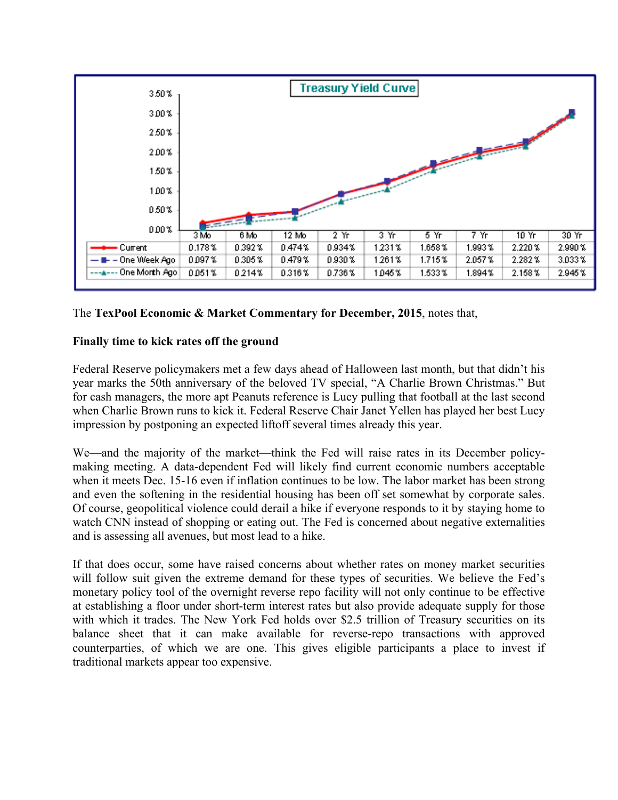

## The **TexPool Economic & Market Commentary for December, 2015**, notes that,

### **Finally time to kick rates off the ground**

Federal Reserve policymakers met a few days ahead of Halloween last month, but that didn't his year marks the 50th anniversary of the beloved TV special, "A Charlie Brown Christmas." But for cash managers, the more apt Peanuts reference is Lucy pulling that football at the last second when Charlie Brown runs to kick it. Federal Reserve Chair Janet Yellen has played her best Lucy impression by postponing an expected liftoff several times already this year.

We—and the majority of the market—think the Fed will raise rates in its December policymaking meeting. A data-dependent Fed will likely find current economic numbers acceptable when it meets Dec. 15-16 even if inflation continues to be low. The labor market has been strong and even the softening in the residential housing has been off set somewhat by corporate sales. Of course, geopolitical violence could derail a hike if everyone responds to it by staying home to watch CNN instead of shopping or eating out. The Fed is concerned about negative externalities and is assessing all avenues, but most lead to a hike.

If that does occur, some have raised concerns about whether rates on money market securities will follow suit given the extreme demand for these types of securities. We believe the Fed's monetary policy tool of the overnight reverse repo facility will not only continue to be effective at establishing a floor under short-term interest rates but also provide adequate supply for those with which it trades. The New York Fed holds over \$2.5 trillion of Treasury securities on its balance sheet that it can make available for reverse-repo transactions with approved counterparties, of which we are one. This gives eligible participants a place to invest if traditional markets appear too expensive.